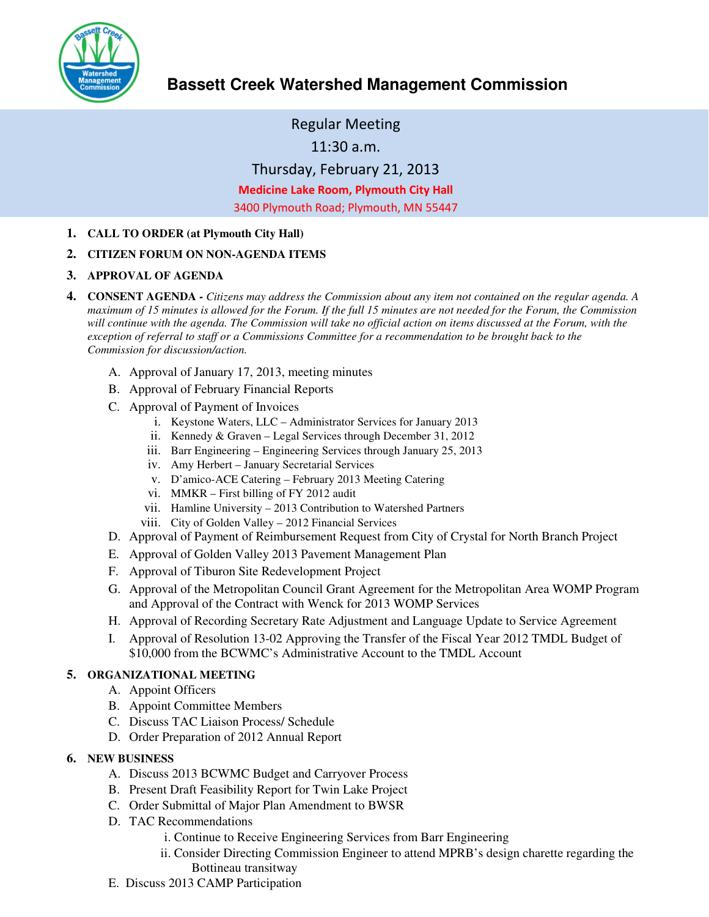

# **Bassett Creek Watershed Management Commission**

Regular Meeting

11:30 a.m.

Thursday, February 21, 2013

Medicine Lake Room, Plymouth City Hall

3400 Plymouth Road; Plymouth, MN 55447

**1. CALL TO ORDER (at Plymouth City Hall)** 

#### **2. CITIZEN FORUM ON NON-AGENDA ITEMS**

- **3. APPROVAL OF AGENDA**
- **4. CONSENT AGENDA** *Citizens may address the Commission about any item not contained on the regular agenda. A maximum of 15 minutes is allowed for the Forum. If the full 15 minutes are not needed for the Forum, the Commission*  will continue with the agenda. The Commission will take no official action on items discussed at the Forum, with the *exception of referral to staff or a Commissions Committee for a recommendation to be brought back to the Commission for discussion/action.*
	- A. Approval of January 17, 2013, meeting minutes
	- B. Approval of February Financial Reports
	- C. Approval of Payment of Invoices
		- i. Keystone Waters, LLC Administrator Services for January 2013
		- ii. Kennedy & Graven Legal Services through December 31, 2012
		- iii. Barr Engineering Engineering Services through January 25, 2013
		- iv. Amy Herbert January Secretarial Services
		- v. D'amico-ACE Catering February 2013 Meeting Catering
		- vi. MMKR First billing of FY 2012 audit
		- vii. Hamline University 2013 Contribution to Watershed Partners
		- viii. City of Golden Valley 2012 Financial Services
	- D. Approval of Payment of Reimbursement Request from City of Crystal for North Branch Project
	- E. Approval of Golden Valley 2013 Pavement Management Plan
	- F. Approval of Tiburon Site Redevelopment Project
	- G. Approval of the Metropolitan Council Grant Agreement for the Metropolitan Area WOMP Program and Approval of the Contract with Wenck for 2013 WOMP Services
	- H. Approval of Recording Secretary Rate Adjustment and Language Update to Service Agreement
	- I. Approval of Resolution 13-02 Approving the Transfer of the Fiscal Year 2012 TMDL Budget of \$10,000 from the BCWMC's Administrative Account to the TMDL Account

#### **5. ORGANIZATIONAL MEETING**

- A. Appoint Officers
- B. Appoint Committee Members
- C. Discuss TAC Liaison Process/ Schedule
- D. Order Preparation of 2012 Annual Report

#### **6. NEW BUSINESS**

- A. Discuss 2013 BCWMC Budget and Carryover Process
- B. Present Draft Feasibility Report for Twin Lake Project
- C. Order Submittal of Major Plan Amendment to BWSR
- D. TAC Recommendations
	- i. Continue to Receive Engineering Services from Barr Engineering
	- ii. Consider Directing Commission Engineer to attend MPRB's design charette regarding the Bottineau transitway
- E. Discuss 2013 CAMP Participation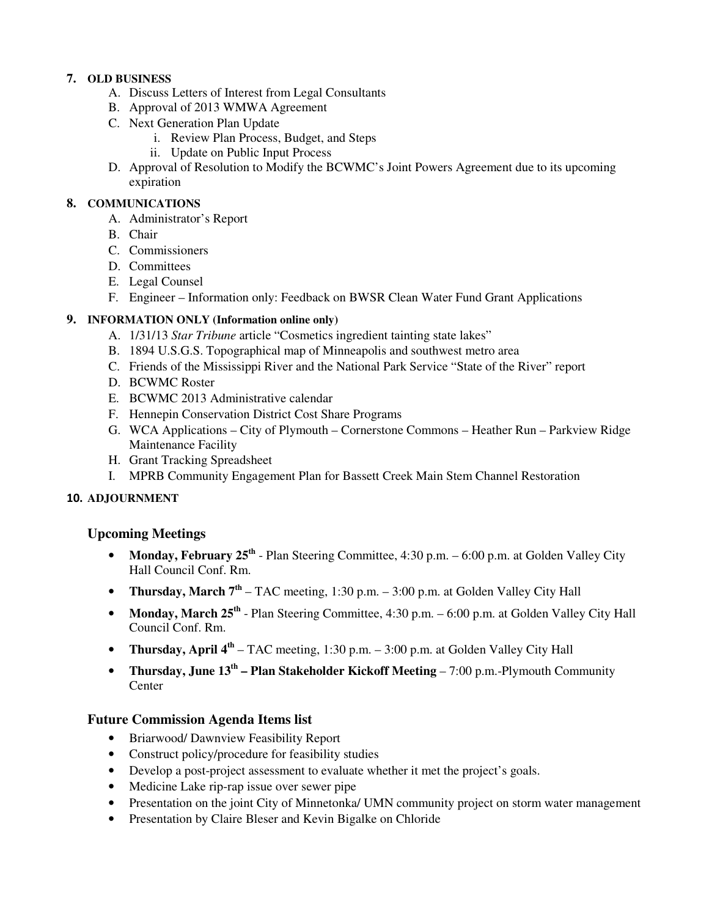# **7. OLD BUSINESS**

- A. Discuss Letters of Interest from Legal Consultants
- B. Approval of 2013 WMWA Agreement
- C. Next Generation Plan Update
	- i. Review Plan Process, Budget, and Steps
	- ii. Update on Public Input Process
- D. Approval of Resolution to Modify the BCWMC's Joint Powers Agreement due to its upcoming expiration

# **8. COMMUNICATIONS**

- A. Administrator's Report
- B. Chair
- C. Commissioners
- D. Committees
- E. Legal Counsel
- F. Engineer Information only: Feedback on BWSR Clean Water Fund Grant Applications

# **9. INFORMATION ONLY (Information online only)**

- A. 1/31/13 *Star Tribune* article "Cosmetics ingredient tainting state lakes"
- B. 1894 U.S.G.S. Topographical map of Minneapolis and southwest metro area
- C. Friends of the Mississippi River and the National Park Service "State of the River" report
- D. BCWMC Roster
- E. BCWMC 2013 Administrative calendar
- F. Hennepin Conservation District Cost Share Programs
- G. WCA Applications City of Plymouth Cornerstone Commons Heather Run Parkview Ridge Maintenance Facility
- H. Grant Tracking Spreadsheet
- I. MPRB Community Engagement Plan for Bassett Creek Main Stem Channel Restoration

### 10. **ADJOURNMENT**

### **Upcoming Meetings**

- Monday, February 25<sup>th</sup> Plan Steering Committee, 4:30 p.m. 6:00 p.m. at Golden Valley City Hall Council Conf. Rm.
- **Thursday, March 7th** TAC meeting, 1:30 p.m. 3:00 p.m. at Golden Valley City Hall
- **Monday, March 25<sup>th</sup>** Plan Steering Committee, 4:30 p.m. 6:00 p.m. at Golden Valley City Hall Council Conf. Rm.
- **Thursday, April 4<sup>th</sup>** TAC meeting, 1:30 p.m. 3:00 p.m. at Golden Valley City Hall
- **Thursday, June 13<sup>th</sup> Plan Stakeholder Kickoff Meeting 7:00 p.m.-Plymouth Community Center**

# **Future Commission Agenda Items list**

- Briarwood/ Dawnview Feasibility Report
- Construct policy/procedure for feasibility studies
- Develop a post-project assessment to evaluate whether it met the project's goals.
- Medicine Lake rip-rap issue over sewer pipe
- Presentation on the joint City of Minnetonka/ UMN community project on storm water management
- Presentation by Claire Bleser and Kevin Bigalke on Chloride